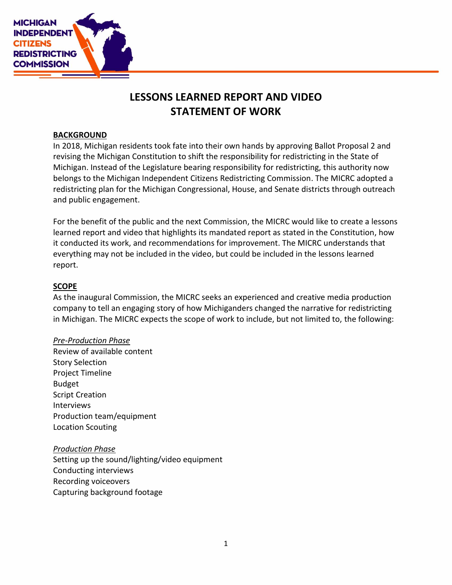

# **LESSONS LEARNED REPORT AND VIDEO STATEMENT OF WORK**

## **BACKGROUND**

In 2018, Michigan residents took fate into their own hands by approving Ballot Proposal 2 and revising the Michigan Constitution to shift the responsibility for redistricting in the State of Michigan. Instead of the Legislature bearing responsibility for redistricting, this authority now belongs to the Michigan Independent Citizens Redistricting Commission. The MICRC adopted a redistricting plan for the Michigan Congressional, House, and Senate districts through outreach and public engagement.

For the benefit of the public and the next Commission, the MICRC would like to create a lessons learned report and video that highlights its mandated report as stated in the Constitution, how it conducted its work, and recommendations for improvement. The MICRC understands that everything may not be included in the video, but could be included in the lessons learned report.

# **SCOPE**

As the inaugural Commission, the MICRC seeks an experienced and creative media production company to tell an engaging story of how Michiganders changed the narrative for redistricting in Michigan. The MICRC expects the scope of work to include, but not limited to, the following:

# *Pre-Production Phase*

Review of available content Story Selection Project Timeline Budget Script Creation Interviews Production team/equipment Location Scouting

# *Production Phase*

Setting up the sound/lighting/video equipment Conducting interviews Recording voiceovers Capturing background footage